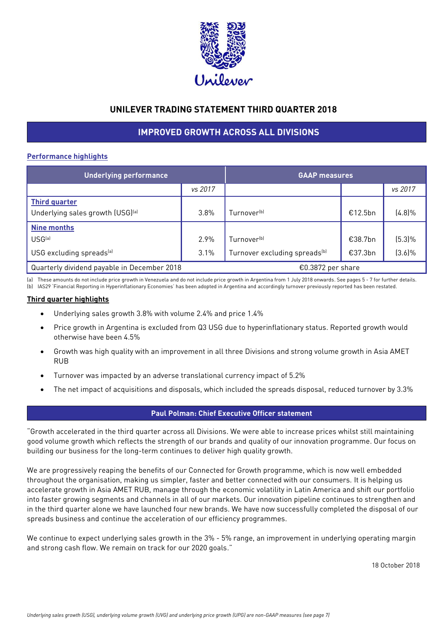

# **UNILEVER TRADING STATEMENT THIRD QUARTER 2018**

# **IMPROVED GROWTH ACROSS ALL DIVISIONS**

# **Performance highlights**

| <b>Underlying performance</b>               |         | <b>GAAP</b> measures                      |         |           |
|---------------------------------------------|---------|-------------------------------------------|---------|-----------|
|                                             | vs 2017 |                                           |         | vs 2017   |
| <b>Third quarter</b>                        |         |                                           |         |           |
| Underlying sales growth (USG)[a]            | 3.8%    | Turnover <sup>(b)</sup>                   | €12.5bn | $(4.8)\%$ |
| <b>Nine months</b>                          |         |                                           |         |           |
| USG <sup>(a)</sup>                          | 2.9%    | Turnover <sup>(b)</sup>                   | €38.7bn | $(5.3)\%$ |
| USG excluding spreads <sup>[a]</sup>        | 3.1%    | Turnover excluding spreads <sup>(b)</sup> | €37.3bn | $(3.6)\%$ |
| Quarterly dividend payable in December 2018 |         | €0.3872 per share                         |         |           |

(a) These amounts do not include price growth in Venezuela and do not include price growth in Argentina from 1 July 2018 onwards. See pages 5 - 7 for further details. (b) IAS29 'Financial Reporting in Hyperinflationary Economies' has been adopted in Argentina and accordingly turnover previously reported has been restated.

# **Third quarter highlights**

- Underlying sales growth 3.8% with volume 2.4% and price 1.4%
- Price growth in Argentina is excluded from Q3 USG due to hyperinflationary status. Reported growth would otherwise have been 4.5%
- Growth was high quality with an improvement in all three Divisions and strong volume growth in Asia AMET RUB
- Turnover was impacted by an adverse translational currency impact of 5.2%
- The net impact of acquisitions and disposals, which included the spreads disposal, reduced turnover by 3.3%

# **Paul Polman: Chief Executive Officer statement**

"Growth accelerated in the third quarter across all Divisions. We were able to increase prices whilst still maintaining good volume growth which reflects the strength of our brands and quality of our innovation programme. Our focus on building our business for the long-term continues to deliver high quality growth.

We are progressively reaping the benefits of our Connected for Growth programme, which is now well embedded throughout the organisation, making us simpler, faster and better connected with our consumers. It is helping us accelerate growth in Asia AMET RUB, manage through the economic volatility in Latin America and shift our portfolio into faster growing segments and channels in all of our markets. Our innovation pipeline continues to strengthen and in the third quarter alone we have launched four new brands. We have now successfully completed the disposal of our spreads business and continue the acceleration of our efficiency programmes.

We continue to expect underlying sales growth in the 3% - 5% range, an improvement in underlying operating margin and strong cash flow. We remain on track for our 2020 goals."

18 October 2018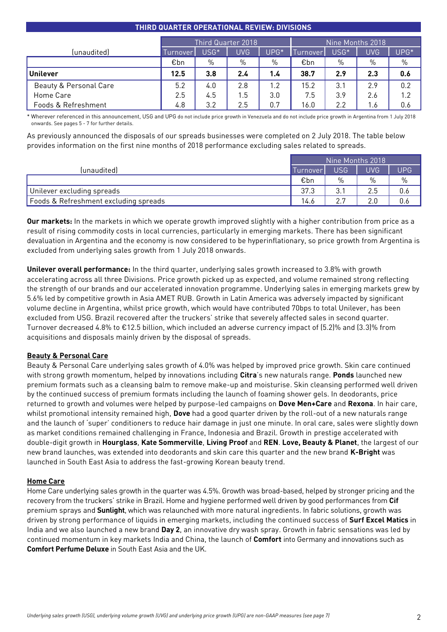# **THIRD QUARTER OPERATIONAL REVIEW: DIVISIONS**

|                        | Third Quarter 2018 |      |      |        | Nine Months 2018 |                  |            |      |
|------------------------|--------------------|------|------|--------|------------------|------------------|------------|------|
| (unaudited)            | Turnover           | USG* | UVG. | $UPG*$ | Turnover.        | USG <sup>*</sup> | <b>UVG</b> | UPG* |
|                        | €bn                | $\%$ | %    | $\%$   | €bn              | %                | %          | $\%$ |
| <b>Unilever</b>        | 12.5               | 3.8  | 2.4  | 1.4    | 38.7             | 2.9              | 2.3        | 0.6  |
| Beauty & Personal Care | 5.2                | 4.0  | 2.8  | 1.2    | 15.2             | 3.1              | 2.9        | 0.2  |
| Home Care              | 2.5                | 4.5  | .5   | 3.0    | 7.5              | 3.9              | 2.6        | 1.2  |
| Foods & Refreshment    | 4.8                | 3.2  | 2.5  | 0.7    | 16.0             | $2.2\,$          | 1.6        | 0.6  |

\* Wherever referenced in this announcement, USG and UPG do not include price growth in Venezuela and do not include price growth in Argentina from 1 July 2018 onwards. See pages 5 - 7 for further details.

As previously announced the disposals of our spreads businesses were completed on 2 July 2018. The table below provides information on the first nine months of 2018 performance excluding sales related to spreads.

|                                       | Nine Months 2018 |      |      |               |
|---------------------------------------|------------------|------|------|---------------|
| (unaudited)                           | <b>Turnover</b>  | USG. | UVG. | UPG.          |
|                                       | €bn              | $\%$ | $\%$ | $\frac{0}{0}$ |
| Unilever excluding spreads            | 37.3             | 3.1  | 2.5  | 0.6           |
| Foods & Refreshment excluding spreads | 14.6             | 27   | 2.0  | U.6           |

**Our markets:** In the markets in which we operate growth improved slightly with a higher contribution from price as a result of rising commodity costs in local currencies, particularly in emerging markets. There has been significant devaluation in Argentina and the economy is now considered to be hyperinflationary, so price growth from Argentina is excluded from underlying sales growth from 1 July 2018 onwards.

**Unilever overall performance:** In the third quarter, underlying sales growth increased to 3.8% with growth accelerating across all three Divisions. Price growth picked up as expected, and volume remained strong reflecting the strength of our brands and our accelerated innovation programme. Underlying sales in emerging markets grew by 5.6% led by competitive growth in Asia AMET RUB. Growth in Latin America was adversely impacted by significant volume decline in Argentina, whilst price growth, which would have contributed 70bps to total Unilever, has been excluded from USG. Brazil recovered after the truckers' strike that severely affected sales in second quarter. Turnover decreased 4.8% to €12.5 billion, which included an adverse currency impact of (5.2)% and (3.3)% from acquisitions and disposals mainly driven by the disposal of spreads.

# **Beauty & Personal Care**

Beauty & Personal Care underlying sales growth of 4.0% was helped by improved price growth. Skin care continued with strong growth momentum, helped by innovations including **Citra**'s new naturals range. **Ponds** launched new premium formats such as a cleansing balm to remove make-up and moisturise. Skin cleansing performed well driven by the continued success of premium formats including the launch of foaming shower gels. In deodorants, price returned to growth and volumes were helped by purpose-led campaigns on **Dove Men+Care** and **Rexona**. In hair care, whilst promotional intensity remained high, **Dove** had a good quarter driven by the roll-out of a new naturals range and the launch of 'super' conditioners to reduce hair damage in just one minute. In oral care, sales were slightly down as market conditions remained challenging in France, Indonesia and Brazil. Growth in prestige accelerated with double-digit growth in **Hourglass**, **Kate Sommerville**, **Living Proof** and **REN**. **Love, Beauty & Planet**, the largest of our new brand launches, was extended into deodorants and skin care this quarter and the new brand **K-Bright** was launched in South East Asia to address the fast-growing Korean beauty trend.

# **Home Care**

Home Care underlying sales growth in the quarter was 4.5%. Growth was broad-based, helped by stronger pricing and the recovery from the truckers' strike in Brazil. Home and hygiene performed well driven by good performances from **Cif** premium sprays and **Sunlight**, which was relaunched with more natural ingredients. In fabric solutions, growth was driven by strong performance of liquids in emerging markets, including the continued success of **Surf Excel Matics** in India and we also launched a new brand **Day 2**, an innovative dry wash spray. Growth in fabric sensations was led by continued momentum in key markets India and China, the launch of **Comfort** into Germany and innovations such as **Comfort Perfume Deluxe** in South East Asia and the UK.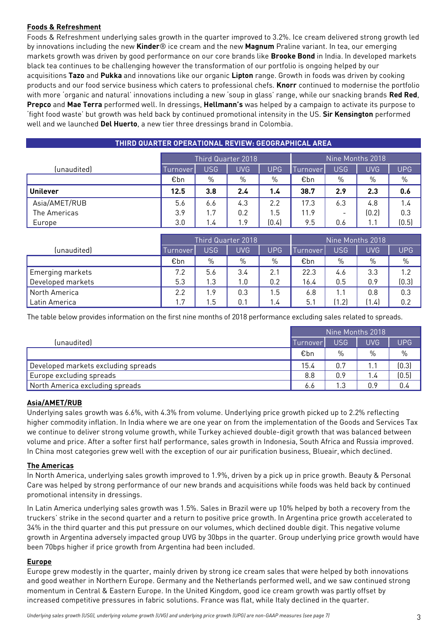# **Foods & Refreshment**

Foods & Refreshment underlying sales growth in the quarter improved to 3.2%. Ice cream delivered strong growth led by innovations including the new **Kinder**® ice cream and the new **Magnum** Praline variant. In tea, our emerging markets growth was driven by good performance on our core brands like **Brooke Bond** in India. In developed markets black tea continues to be challenging however the transformation of our portfolio is ongoing helped by our acquisitions **Tazo** and **Pukka** and innovations like our organic **Lipton** range. Growth in foods was driven by cooking products and our food service business which caters to professional chefs. **Knorr** continued to modernise the portfolio with more 'organic and natural' innovations including a new 'soup in glass' range, while our snacking brands **Red Red**, **Prepco** and **Mae Terra** performed well. In dressings, **Hellmann's** was helped by a campaign to activate its purpose to 'fight food waste' but growth was held back by continued promotional intensity in the US. **Sir Kensington** performed well and we launched **Del Huerto**, a new tier three dressings brand in Colombia.

| THIRD QUARTER OPERATIONAL REVIEW: GEOGRAPHICAL AREA |                    |            |            |            |                     |     |       |            |
|-----------------------------------------------------|--------------------|------------|------------|------------|---------------------|-----|-------|------------|
|                                                     | Third Quarter 2018 |            |            |            | Nine Months 2018    |     |       |            |
| (unaudited)                                         | Turnover           | <b>USG</b> | <b>UVG</b> | <b>UPG</b> | $\mathsf{Turnover}$ | USG | UVG.  | <b>UPG</b> |
|                                                     | €bn                | $\%$       | $\%$       | %          | €bn                 | %   | %     | $\%$       |
| <b>Unilever</b>                                     | 12.5               | 3.8        | 2.4        | 1.4        | 38.7                | 2.9 | 2.3   | 0.6        |
| Asia/AMET/RUB                                       | 5.6                | 6.6        | 4.3        | 2.2        | 17.3                | 6.3 | 4.8   | 1.4        |
| The Americas                                        | 3.9                | 1.7        | 0.2        | 1.5        | 11.9                |     | (0.2) | 0.3        |
| Europe                                              | 3.0                | 1.4        | 1.9        | (0.4)      | 9.5                 | 0.6 | 1.1   | (0.5)      |

|                   | Third Quarter 2018 |            |            |     | Nine Months 2018 |       |       |            |
|-------------------|--------------------|------------|------------|-----|------------------|-------|-------|------------|
| (unaudited)       | <u>lurnover</u>    | <b>USG</b> | <b>UVG</b> | UPG | <u>urnover</u>   | USG   | UVG.  | <b>UPG</b> |
|                   | €bn                | $\%$       | $\%$       | %   | €bn              | $\%$  | $\%$  | $\%$       |
| Emerging markets  | 7.2                | 5.6        | 3.4        | 2.1 | 22.3             | 4.6   | 3.3   | 1.2        |
| Developed markets | 5.3                | I.3        | 0. ا       | 0.2 | 16.4             | 0.5   | 0.9   | (0.3)      |
| North America     | 2.2                | 9.،        | 0.3        | .5  | 6.8              | 1.1   | 0.8   | 0.3        |
| Latin America     | 1.7                | . 5        | 0.1        | .4  | 5.1              | (1.2) | (1.4) | 0.2        |

The table below provides information on the first nine months of 2018 performance excluding sales related to spreads.

|                                     | Nine Months 2018 |      |            |            |
|-------------------------------------|------------------|------|------------|------------|
| (unaudited)                         | Turnover         | USG  | <b>UVG</b> | <b>UPG</b> |
|                                     | €bn              | $\%$ | $\%$       | $\%$       |
| Developed markets excluding spreads | 15.4             | 0.7  | 1.1        | (0.3)      |
| Europe excluding spreads            | 8.8              | 0.9  | 1.4        | (0.5)      |
| North America excluding spreads     | 6.6              | 1.3  | 0.9        | 0.4        |

# **Asia/AMET/RUB**

Underlying sales growth was 6.6%, with 4.3% from volume. Underlying price growth picked up to 2.2% reflecting higher commodity inflation. In India where we are one year on from the implementation of the Goods and Services Tax we continue to deliver strong volume growth, while Turkey achieved double-digit growth that was balanced between volume and price. After a softer first half performance, sales growth in Indonesia, South Africa and Russia improved. In China most categories grew well with the exception of our air purification business, Blueair, which declined.

# **The Americas**

In North America, underlying sales growth improved to 1.9%, driven by a pick up in price growth. Beauty & Personal Care was helped by strong performance of our new brands and acquisitions while foods was held back by continued promotional intensity in dressings.

In Latin America underlying sales growth was 1.5%. Sales in Brazil were up 10% helped by both a recovery from the truckers' strike in the second quarter and a return to positive price growth. In Argentina price growth accelerated to 34% in the third quarter and this put pressure on our volumes, which declined double digit. This negative volume growth in Argentina adversely impacted group UVG by 30bps in the quarter. Group underlying price growth would have been 70bps higher if price growth from Argentina had been included.

# **Europe**

Europe grew modestly in the quarter, mainly driven by strong ice cream sales that were helped by both innovations and good weather in Northern Europe. Germany and the Netherlands performed well, and we saw continued strong momentum in Central & Eastern Europe. In the United Kingdom, good ice cream growth was partly offset by increased competitive pressures in fabric solutions. France was flat, while Italy declined in the quarter.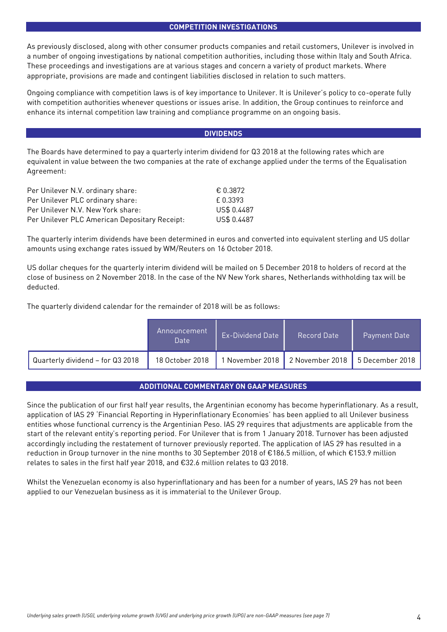#### **COMPETITION INVESTIGATIONS**

As previously disclosed, along with other consumer products companies and retail customers, Unilever is involved in a number of ongoing investigations by national competition authorities, including those within Italy and South Africa. These proceedings and investigations are at various stages and concern a variety of product markets. Where appropriate, provisions are made and contingent liabilities disclosed in relation to such matters.

Ongoing compliance with competition laws is of key importance to Unilever. It is Unilever's policy to co-operate fully with competition authorities whenever questions or issues arise. In addition, the Group continues to reinforce and enhance its internal competition law training and compliance programme on an ongoing basis.

### **DIVIDENDS**

The Boards have determined to pay a quarterly interim dividend for Q3 2018 at the following rates which are equivalent in value between the two companies at the rate of exchange applied under the terms of the Equalisation Agreement:

| Per Unilever N.V. ordinary share:             | € 0.3872    |
|-----------------------------------------------|-------------|
| Per Unilever PLC ordinary share:              | f 0.3393    |
| Per Unilever N.V. New York share:             | US\$ 0.4487 |
| Per Unilever PLC American Depositary Receipt: | US\$ 0.4487 |

The quarterly interim dividends have been determined in euros and converted into equivalent sterling and US dollar amounts using exchange rates issued by WM/Reuters on 16 October 2018.

US dollar cheques for the quarterly interim dividend will be mailed on 5 December 2018 to holders of record at the close of business on 2 November 2018. In the case of the NV New York shares, Netherlands withholding tax will be deducted.

The quarterly dividend calendar for the remainder of 2018 will be as follows:

|                                  | Announcement<br>Date | <b>Ex-Dividend Date</b> | Record Date                     | Payment Date '  |
|----------------------------------|----------------------|-------------------------|---------------------------------|-----------------|
| Quarterly dividend - for Q3 2018 | 18 October 2018      |                         | November 2018   2 November 2018 | 5 December 2018 |

# **ADDITIONAL COMMENTARY ON GAAP MEASURES**

Since the publication of our first half year results, the Argentinian economy has become hyperinflationary. As a result, application of IAS 29 'Financial Reporting in Hyperinflationary Economies' has been applied to all Unilever business entities whose functional currency is the Argentinian Peso. IAS 29 requires that adjustments are applicable from the start of the relevant entity's reporting period. For Unilever that is from 1 January 2018. Turnover has been adjusted accordingly including the restatement of turnover previously reported. The application of IAS 29 has resulted in a reduction in Group turnover in the nine months to 30 September 2018 of €186.5 million, of which €153.9 million relates to sales in the first half year 2018, and €32.6 million relates to Q3 2018.

Whilst the Venezuelan economy is also hyperinflationary and has been for a number of years, IAS 29 has not been applied to our Venezuelan business as it is immaterial to the Unilever Group.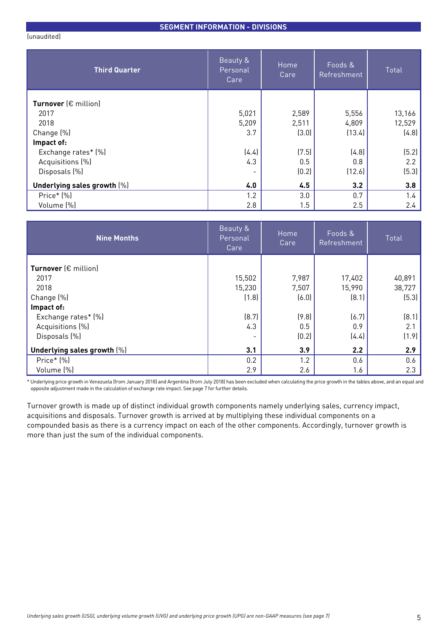### **SEGMENT INFORMATION - DIVISIONS**

(unaudited)

| <b>Third Quarter</b>          | Beauty &<br>Personal<br>Care | Home<br>Care | Foods &<br>Refreshment | Total  |
|-------------------------------|------------------------------|--------------|------------------------|--------|
| Turnover $(\epsilon$ million) |                              |              |                        |        |
| 2017                          | 5,021                        | 2,589        | 5,556                  | 13,166 |
| 2018                          | 5,209                        | 2,511        | 4,809                  | 12,529 |
| Change (%)                    | 3.7                          | (3.0)        | (13.4)                 | (4.8)  |
| Impact of:                    |                              |              |                        |        |
| Exchange rates* (%)           | (4.4)                        | (7.5)        | (4.8)                  | (5.2)  |
| Acquisitions (%)              | 4.3                          | 0.5          | 0.8                    | 2.2    |
| Disposals (%)                 | $\overline{\phantom{0}}$     | (0.2)        | (12.6)                 | (5.3)  |
| Underlying sales growth (%)   | 4.0                          | 4.5          | 3.2                    | 3.8    |
| Price* (%)                    | 1.2                          | 3.0          | 0.7                    | 1.4    |
| Volume (%)                    | 2.8                          | 1.5          | 2.5                    | 2.4    |

| <b>Nine Months</b>            | Beauty &<br>Personal<br>Care | Home<br>Care | Foods &<br>Refreshment | Total  |
|-------------------------------|------------------------------|--------------|------------------------|--------|
| Turnover $(\epsilon$ million) |                              |              |                        |        |
| 2017                          | 15,502                       | 7,987        | 17,402                 | 40,891 |
| 2018                          | 15,230                       | 7,507        | 15,990                 | 38,727 |
| Change (%)                    | (1.8)                        | (6.0)        | (8.1)                  | (5.3)  |
| Impact of:                    |                              |              |                        |        |
| Exchange rates* [%]           | (8.7)                        | (9.8)        | (6.7)                  | (8.1)  |
| Acquisitions (%)              | 4.3                          | 0.5          | 0.9                    | 2.1    |
| Disposals (%)                 | ۰                            | (0.2)        | (4.4)                  | (1.9)  |
| Underlying sales growth [%]   | 3.1                          | 3.9          | 2.2                    | 2.9    |
| Price* (%)                    | 0.2                          | 1.2          | 0.6                    | 0.6    |
| Volume (%)                    | 2.9                          | 2.6          | 1.6                    | 2.3    |

\* Underlying price growth in Venezuela (from January 2018) and Argentina (from July 2018) has been excluded when calculating the price growth in the tables above, and an equal and opposite adjustment made in the calculation of exchange rate impact. See page 7 for further details.

Turnover growth is made up of distinct individual growth components namely underlying sales, currency impact, acquisitions and disposals. Turnover growth is arrived at by multiplying these individual components on a compounded basis as there is a currency impact on each of the other components. Accordingly, turnover growth is more than just the sum of the individual components.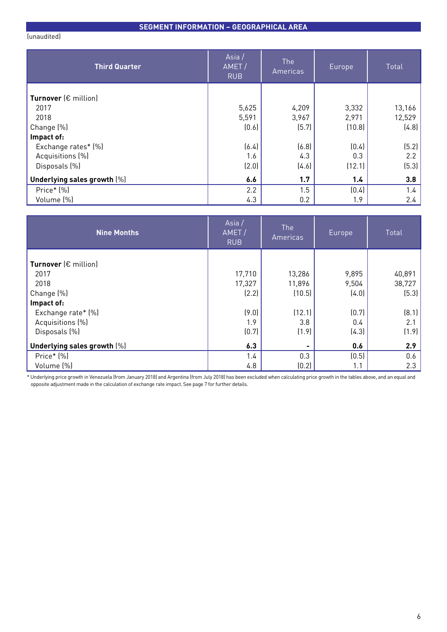# **SEGMENT INFORMATION – GEOGRAPHICAL AREA**

(unaudited)

| <b>Third Quarter</b>          | Asia/<br>AMET/<br><b>RUB</b> | The<br>Americas | Europe | Total  |
|-------------------------------|------------------------------|-----------------|--------|--------|
| Turnover $(\epsilon$ million) |                              |                 |        |        |
| 2017                          | 5,625                        | 4,209           | 3,332  | 13,166 |
| 2018                          | 5,591                        | 3,967           | 2,971  | 12,529 |
| Change (%)                    | (0.6)                        | (5.7)           | (10.8) | (4.8)  |
| Impact of:                    |                              |                 |        |        |
| Exchange rates* (%)           | (6.4)                        | (6.8)           | (0.4)  | (5.2)  |
| Acquisitions (%)              | 1.6                          | 4.3             | 0.3    | 2.2    |
| Disposals (%)                 | (2.0)                        | (4.6)           | (12.1) | (5.3)  |
| Underlying sales growth [%]   | 6.6                          | 1.7             | 1.4    | 3.8    |
| Price* (%)                    | 2.2                          | 1.5             | (0.4)  | 1.4    |
| Volume (%)                    | 4.3                          | 0.2             | 1.9    | 2.4    |

| <b>Nine Months</b>            | Asia $/$<br>AMET/<br><b>RUB</b> | <b>The</b><br>Americas | Europe | Total  |
|-------------------------------|---------------------------------|------------------------|--------|--------|
| Turnover $(\epsilon$ million) |                                 |                        |        |        |
| 2017                          | 17,710                          | 13,286                 | 9,895  | 40,891 |
| 2018                          | 17,327                          | 11,896                 | 9,504  | 38,727 |
| Change (%)                    | (2.2)                           | (10.5)                 | (4.0)  | (5.3)  |
| Impact of:                    |                                 |                        |        |        |
| Exchange rate* (%)            | (9.0)                           | (12.1)                 | (0.7)  | (8.1)  |
| Acquisitions (%)              | 1.9                             | 3.8                    | 0.4    | 2.1    |
| Disposals (%)                 | (0.7)                           | (1.9)                  | (4.3)  | (1.9)  |
| Underlying sales growth [%]   | 6.3                             |                        | 0.6    | 2.9    |
| Price* (%)                    | 1.4                             | 0.3                    | (0.5)  | 0.6    |
| Volume (%)                    | 4.8                             | (0.2)                  | 1.1    | 2.3    |

\* Underlying price growth in Venezuela (from January 2018) and Argentina (from July 2018) has been excluded when calculating price growth in the tables above, and an equal and opposite adjustment made in the calculation of exchange rate impact. See page 7 for further details.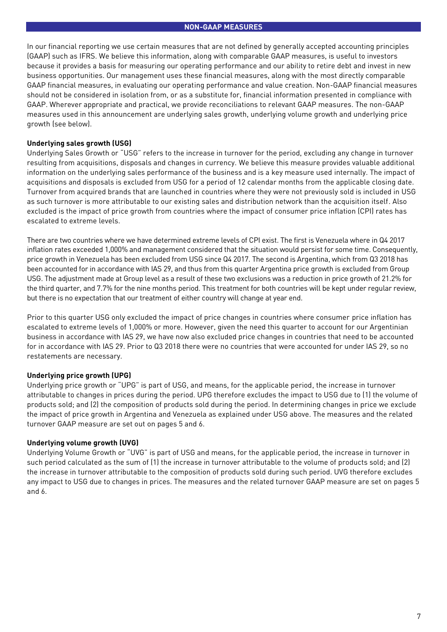In our financial reporting we use certain measures that are not defined by generally accepted accounting principles (GAAP) such as IFRS. We believe this information, along with comparable GAAP measures, is useful to investors because it provides a basis for measuring our operating performance and our ability to retire debt and invest in new business opportunities. Our management uses these financial measures, along with the most directly comparable GAAP financial measures, in evaluating our operating performance and value creation. Non-GAAP financial measures should not be considered in isolation from, or as a substitute for, financial information presented in compliance with GAAP. Wherever appropriate and practical, we provide reconciliations to relevant GAAP measures. The non-GAAP measures used in this announcement are underlying sales growth, underlying volume growth and underlying price growth (see below).

# **Underlying sales growth (USG)**

Underlying Sales Growth or "USG" refers to the increase in turnover for the period, excluding any change in turnover resulting from acquisitions, disposals and changes in currency. We believe this measure provides valuable additional information on the underlying sales performance of the business and is a key measure used internally. The impact of acquisitions and disposals is excluded from USG for a period of 12 calendar months from the applicable closing date. Turnover from acquired brands that are launched in countries where they were not previously sold is included in USG as such turnover is more attributable to our existing sales and distribution network than the acquisition itself. Also excluded is the impact of price growth from countries where the impact of consumer price inflation (CPI) rates has escalated to extreme levels.

There are two countries where we have determined extreme levels of CPI exist. The first is Venezuela where in Q4 2017 inflation rates exceeded 1,000% and management considered that the situation would persist for some time. Consequently, price growth in Venezuela has been excluded from USG since Q4 2017. The second is Argentina, which from Q3 2018 has been accounted for in accordance with IAS 29, and thus from this quarter Argentina price growth is excluded from Group USG. The adjustment made at Group level as a result of these two exclusions was a reduction in price growth of 21.2% for the third quarter, and 7.7% for the nine months period. This treatment for both countries will be kept under regular review, but there is no expectation that our treatment of either country will change at year end.

Prior to this quarter USG only excluded the impact of price changes in countries where consumer price inflation has escalated to extreme levels of 1,000% or more. However, given the need this quarter to account for our Argentinian business in accordance with IAS 29, we have now also excluded price changes in countries that need to be accounted for in accordance with IAS 29. Prior to Q3 2018 there were no countries that were accounted for under IAS 29, so no restatements are necessary.

# **Underlying price growth (UPG)**

Underlying price growth or "UPG" is part of USG, and means, for the applicable period, the increase in turnover attributable to changes in prices during the period. UPG therefore excludes the impact to USG due to (1) the volume of products sold; and (2) the composition of products sold during the period. In determining changes in price we exclude the impact of price growth in Argentina and Venezuela as explained under USG above. The measures and the related turnover GAAP measure are set out on pages 5 and 6.

# **Underlying volume growth (UVG)**

Underlying Volume Growth or "UVG" is part of USG and means, for the applicable period, the increase in turnover in such period calculated as the sum of (1) the increase in turnover attributable to the volume of products sold; and (2) the increase in turnover attributable to the composition of products sold during such period. UVG therefore excludes any impact to USG due to changes in prices. The measures and the related turnover GAAP measure are set on pages 5 and 6.